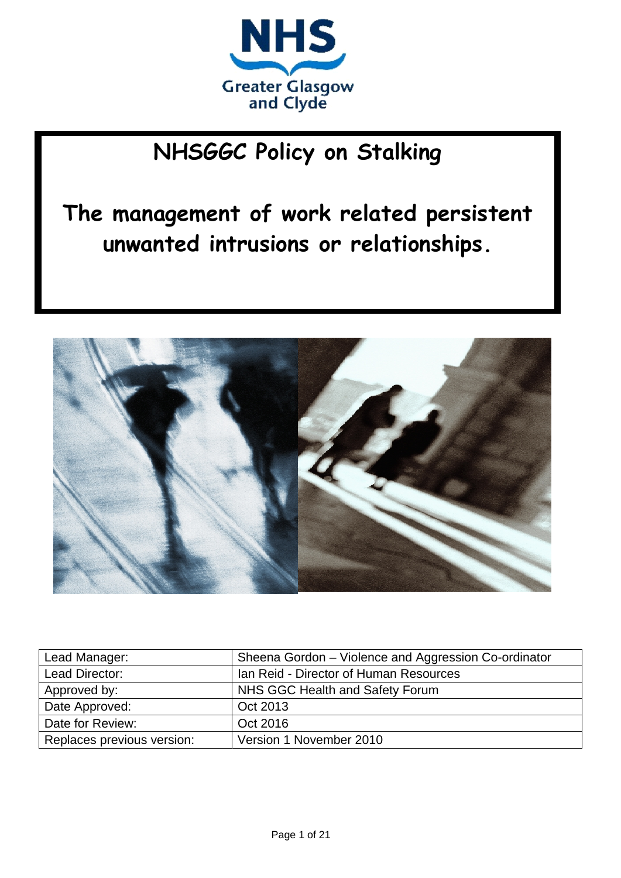

# **NHSGGC Policy on Stalking**

**The management of work related persistent unwanted intrusions or relationships.**



| Lead Manager:              | Sheena Gordon – Violence and Aggression Co-ordinator |
|----------------------------|------------------------------------------------------|
| Lead Director:             | Ian Reid - Director of Human Resources               |
| Approved by:               | NHS GGC Health and Safety Forum                      |
| Date Approved:             | Oct 2013                                             |
| Date for Review:           | Oct 2016                                             |
| Replaces previous version: | Version 1 November 2010                              |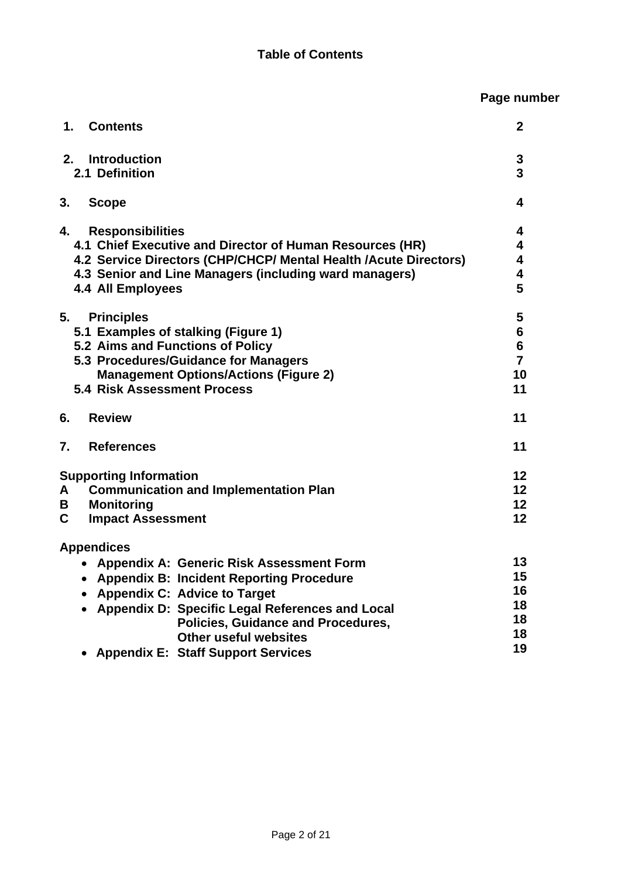## **Page number**

| 1.<br><b>Contents</b>                                                                                                                                                                                                                                        | $\mathbf{2}$                                                        |
|--------------------------------------------------------------------------------------------------------------------------------------------------------------------------------------------------------------------------------------------------------------|---------------------------------------------------------------------|
| <b>Introduction</b><br>2.<br>2.1 Definition                                                                                                                                                                                                                  | 3<br>$\overline{3}$                                                 |
| 3.<br><b>Scope</b>                                                                                                                                                                                                                                           | 4                                                                   |
| <b>Responsibilities</b><br>4.<br>4.1 Chief Executive and Director of Human Resources (HR)<br>4.2 Service Directors (CHP/CHCP/ Mental Health /Acute Directors)<br>4.3 Senior and Line Managers (including ward managers)<br>4.4 All Employees                 | 4<br>$\overline{\mathbf{4}}$<br>4<br>4<br>5                         |
| 5.<br><b>Principles</b><br>5.1 Examples of stalking (Figure 1)<br>5.2 Aims and Functions of Policy<br>5.3 Procedures/Guidance for Managers<br><b>Management Options/Actions (Figure 2)</b><br><b>5.4 Risk Assessment Process</b>                             | 5<br>$6\phantom{a}$<br>$6\phantom{a}$<br>$\overline{7}$<br>10<br>11 |
| <b>Review</b><br>6.                                                                                                                                                                                                                                          | 11                                                                  |
| $\mathbf{7}$ .<br><b>References</b>                                                                                                                                                                                                                          | 11                                                                  |
| <b>Supporting Information</b><br><b>Communication and Implementation Plan</b><br>A<br>B<br><b>Monitoring</b><br>$\mathbf C$<br><b>Impact Assessment</b>                                                                                                      | $12 \,$<br>12<br>12<br>12                                           |
| <b>Appendices</b>                                                                                                                                                                                                                                            |                                                                     |
| • Appendix A: Generic Risk Assessment Form<br>• Appendix B: Incident Reporting Procedure<br>• Appendix C: Advice to Target<br>• Appendix D: Specific Legal References and Local<br><b>Policies, Guidance and Procedures,</b><br><b>Other useful websites</b> | 13<br>15<br>16<br>18<br>18<br>18<br>19                              |
| <b>Appendix E: Staff Support Services</b>                                                                                                                                                                                                                    |                                                                     |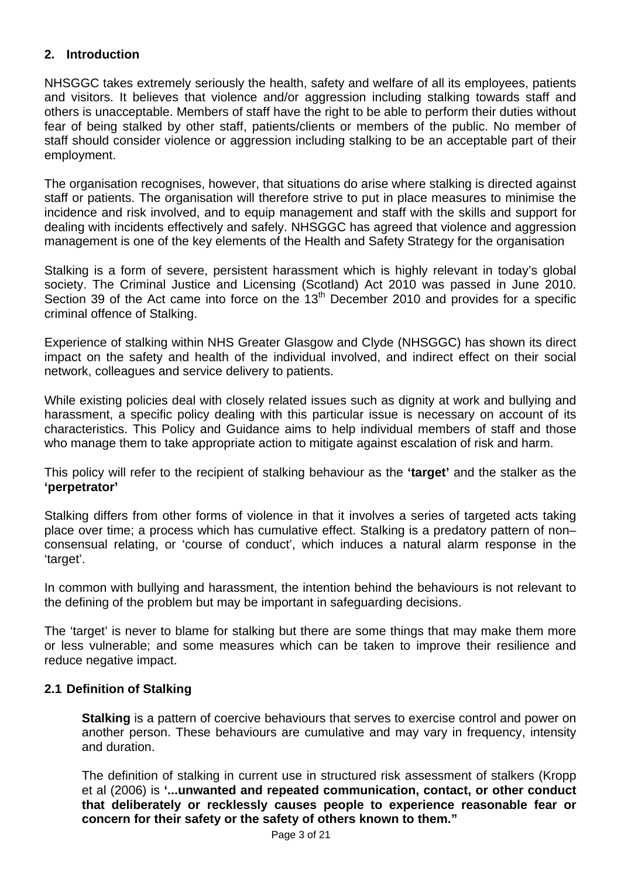#### **2. Introduction**

NHSGGC takes extremely seriously the health, safety and welfare of all its employees, patients and visitors. It believes that violence and/or aggression including stalking towards staff and others is unacceptable. Members of staff have the right to be able to perform their duties without fear of being stalked by other staff, patients/clients or members of the public. No member of staff should consider violence or aggression including stalking to be an acceptable part of their employment.

The organisation recognises, however, that situations do arise where stalking is directed against staff or patients. The organisation will therefore strive to put in place measures to minimise the incidence and risk involved, and to equip management and staff with the skills and support for dealing with incidents effectively and safely. NHSGGC has agreed that violence and aggression management is one of the key elements of the Health and Safety Strategy for the organisation

Stalking is a form of severe, persistent harassment which is highly relevant in today's global society. The Criminal Justice and Licensing (Scotland) Act 2010 was passed in June 2010. Section 39 of the Act came into force on the 13<sup>th</sup> December 2010 and provides for a specific criminal offence of Stalking.

Experience of stalking within NHS Greater Glasgow and Clyde (NHSGGC) has shown its direct impact on the safety and health of the individual involved, and indirect effect on their social network, colleagues and service delivery to patients.

While existing policies deal with closely related issues such as dignity at work and bullying and harassment, a specific policy dealing with this particular issue is necessary on account of its characteristics. This Policy and Guidance aims to help individual members of staff and those who manage them to take appropriate action to mitigate against escalation of risk and harm.

This policy will refer to the recipient of stalking behaviour as the **'target'** and the stalker as the **'perpetrator'**

Stalking differs from other forms of violence in that it involves a series of targeted acts taking place over time; a process which has cumulative effect. Stalking is a predatory pattern of non– consensual relating, or 'course of conduct', which induces a natural alarm response in the 'target'.

In common with bullying and harassment, the intention behind the behaviours is not relevant to the defining of the problem but may be important in safeguarding decisions.

The 'target' is never to blame for stalking but there are some things that may make them more or less vulnerable; and some measures which can be taken to improve their resilience and reduce negative impact.

#### **2.1 Definition of Stalking**

**Stalking** is a pattern of coercive behaviours that serves to exercise control and power on another person. These behaviours are cumulative and may vary in frequency, intensity and duration.

The definition of stalking in current use in structured risk assessment of stalkers (Kropp et al (2006) is **'...unwanted and repeated communication, contact, or other conduct that deliberately or recklessly causes people to experience reasonable fear or concern for their safety or the safety of others known to them."**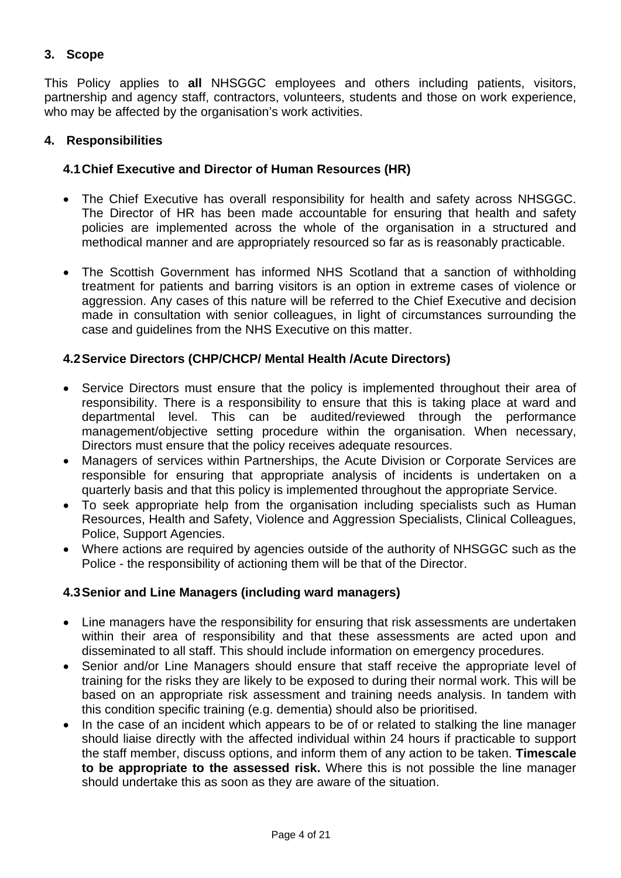#### **3. Scope**

This Policy applies to **all** NHSGGC employees and others including patients, visitors, partnership and agency staff, contractors, volunteers, students and those on work experience, who may be affected by the organisation's work activities.

#### **4. Responsibilities**

#### **4.1 Chief Executive and Director of Human Resources (HR)**

- The Chief Executive has overall responsibility for health and safety across NHSGGC. The Director of HR has been made accountable for ensuring that health and safety policies are implemented across the whole of the organisation in a structured and methodical manner and are appropriately resourced so far as is reasonably practicable.
- The Scottish Government has informed NHS Scotland that a sanction of withholding treatment for patients and barring visitors is an option in extreme cases of violence or aggression. Any cases of this nature will be referred to the Chief Executive and decision made in consultation with senior colleagues, in light of circumstances surrounding the case and guidelines from the NHS Executive on this matter.

#### **4.2 Service Directors (CHP/CHCP/ Mental Health /Acute Directors)**

- Service Directors must ensure that the policy is implemented throughout their area of responsibility. There is a responsibility to ensure that this is taking place at ward and departmental level. This can be audited/reviewed through the performance management/objective setting procedure within the organisation. When necessary, Directors must ensure that the policy receives adequate resources.
- Managers of services within Partnerships, the Acute Division or Corporate Services are responsible for ensuring that appropriate analysis of incidents is undertaken on a quarterly basis and that this policy is implemented throughout the appropriate Service.
- To seek appropriate help from the organisation including specialists such as Human Resources, Health and Safety, Violence and Aggression Specialists, Clinical Colleagues, Police, Support Agencies.
- Where actions are required by agencies outside of the authority of NHSGGC such as the Police - the responsibility of actioning them will be that of the Director.

#### **4.3 Senior and Line Managers (including ward managers)**

- Line managers have the responsibility for ensuring that risk assessments are undertaken within their area of responsibility and that these assessments are acted upon and disseminated to all staff. This should include information on emergency procedures.
- Senior and/or Line Managers should ensure that staff receive the appropriate level of training for the risks they are likely to be exposed to during their normal work. This will be based on an appropriate risk assessment and training needs analysis. In tandem with this condition specific training (e.g. dementia) should also be prioritised.
- In the case of an incident which appears to be of or related to stalking the line manager should liaise directly with the affected individual within 24 hours if practicable to support the staff member, discuss options, and inform them of any action to be taken. **Timescale to be appropriate to the assessed risk.** Where this is not possible the line manager should undertake this as soon as they are aware of the situation.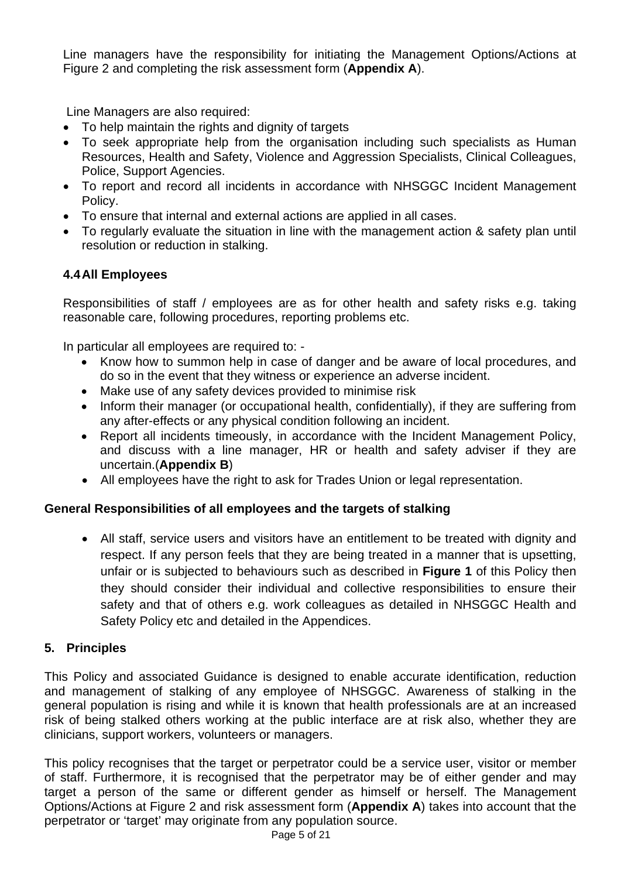Line managers have the responsibility for initiating the Management Options/Actions at Figure 2 and completing the risk assessment form (**Appendix A**).

Line Managers are also required:

- To help maintain the rights and dignity of targets
- To seek appropriate help from the organisation including such specialists as Human Resources, Health and Safety, Violence and Aggression Specialists, Clinical Colleagues, Police, Support Agencies.
- To report and record all incidents in accordance with NHSGGC Incident Management Policy.
- To ensure that internal and external actions are applied in all cases.
- To regularly evaluate the situation in line with the management action & safety plan until resolution or reduction in stalking.

#### **4.4 All Employees**

Responsibilities of staff / employees are as for other health and safety risks e.g. taking reasonable care, following procedures, reporting problems etc.

In particular all employees are required to: -

- Know how to summon help in case of danger and be aware of local procedures, and do so in the event that they witness or experience an adverse incident.
- Make use of any safety devices provided to minimise risk
- Inform their manager (or occupational health, confidentially), if they are suffering from any after-effects or any physical condition following an incident.
- Report all incidents timeously, in accordance with the Incident Management Policy, and discuss with a line manager, HR or health and safety adviser if they are uncertain.(**Appendix B**)
- All employees have the right to ask for Trades Union or legal representation.

#### **General Responsibilities of all employees and the targets of stalking**

 All staff, service users and visitors have an entitlement to be treated with dignity and respect. If any person feels that they are being treated in a manner that is upsetting, unfair or is subjected to behaviours such as described in **Figure 1** of this Policy then they should consider their individual and collective responsibilities to ensure their safety and that of others e.g. work colleagues as detailed in NHSGGC Health and Safety Policy etc and detailed in the Appendices.

#### **5. Principles**

This Policy and associated Guidance is designed to enable accurate identification, reduction and management of stalking of any employee of NHSGGC. Awareness of stalking in the general population is rising and while it is known that health professionals are at an increased risk of being stalked others working at the public interface are at risk also, whether they are clinicians, support workers, volunteers or managers.

This policy recognises that the target or perpetrator could be a service user, visitor or member of staff. Furthermore, it is recognised that the perpetrator may be of either gender and may target a person of the same or different gender as himself or herself. The Management Options/Actions at Figure 2 and risk assessment form (**Appendix A**) takes into account that the perpetrator or 'target' may originate from any population source.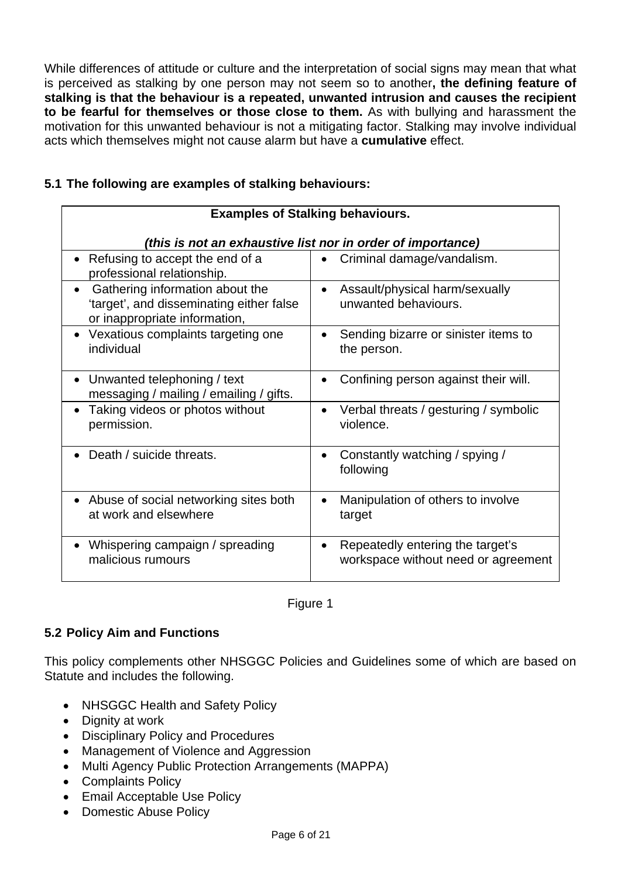While differences of attitude or culture and the interpretation of social signs may mean that what is perceived as stalking by one person may not seem so to another**, the defining feature of stalking is that the behaviour is a repeated, unwanted intrusion and causes the recipient to be fearful for themselves or those close to them.** As with bullying and harassment the motivation for this unwanted behaviour is not a mitigating factor. Stalking may involve individual acts which themselves might not cause alarm but have a **cumulative** effect.

#### **5.1 The following are examples of stalking behaviours:**

| <b>Examples of Stalking behaviours.</b>                                                                                   |                                                                                      |  |
|---------------------------------------------------------------------------------------------------------------------------|--------------------------------------------------------------------------------------|--|
| (this is not an exhaustive list nor in order of importance)                                                               |                                                                                      |  |
| Refusing to accept the end of a<br>professional relationship.                                                             | Criminal damage/vandalism.                                                           |  |
| Gathering information about the<br>$\bullet$<br>'target', and disseminating either false<br>or inappropriate information, | Assault/physical harm/sexually<br>$\bullet$<br>unwanted behaviours.                  |  |
| Vexatious complaints targeting one<br>individual                                                                          | Sending bizarre or sinister items to<br>the person.                                  |  |
| Unwanted telephoning / text<br>messaging / mailing / emailing / gifts.                                                    | Confining person against their will.                                                 |  |
| Taking videos or photos without<br>permission.                                                                            | Verbal threats / gesturing / symbolic<br>violence.                                   |  |
| Death / suicide threats.                                                                                                  | Constantly watching / spying /<br>following                                          |  |
| Abuse of social networking sites both<br>at work and elsewhere                                                            | Manipulation of others to involve<br>target                                          |  |
| Whispering campaign / spreading<br>malicious rumours                                                                      | Repeatedly entering the target's<br>$\bullet$<br>workspace without need or agreement |  |

#### Figure 1

#### **5.2 Policy Aim and Functions**

This policy complements other NHSGGC Policies and Guidelines some of which are based on Statute and includes the following.

- NHSGGC Health and Safety Policy
- Dignity at work
- Disciplinary Policy and Procedures
- Management of Violence and Aggression
- Multi Agency Public Protection Arrangements (MAPPA)
- Complaints Policy
- Email Acceptable Use Policy
- Domestic Abuse Policy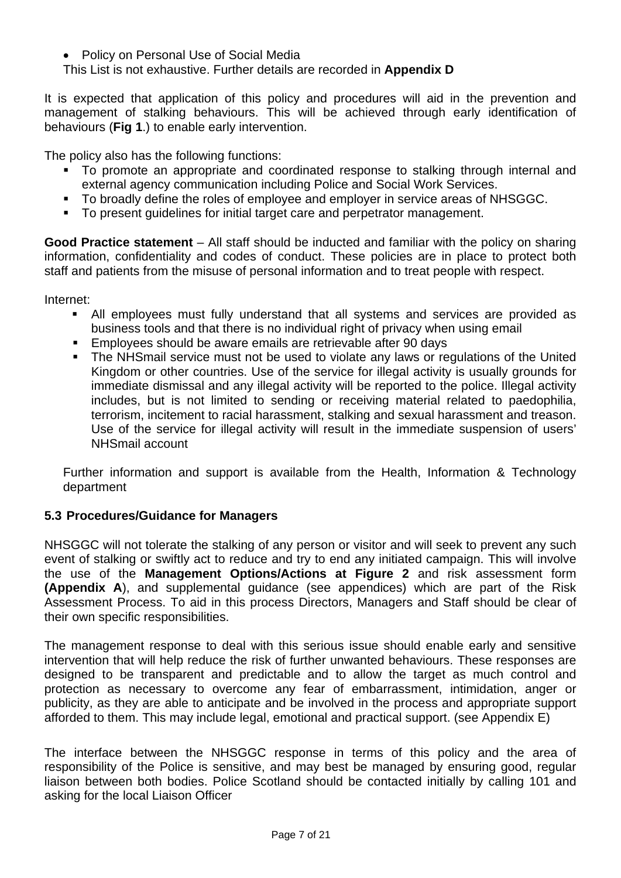- Policy on Personal Use of Social Media
- This List is not exhaustive. Further details are recorded in **Appendix D**

It is expected that application of this policy and procedures will aid in the prevention and management of stalking behaviours. This will be achieved through early identification of behaviours (**Fig 1**.) to enable early intervention.

The policy also has the following functions:

- To promote an appropriate and coordinated response to stalking through internal and external agency communication including Police and Social Work Services.
- To broadly define the roles of employee and employer in service areas of NHSGGC.
- To present quidelines for initial target care and perpetrator management.

**Good Practice statement** – All staff should be inducted and familiar with the policy on sharing information, confidentiality and codes of conduct. These policies are in place to protect both staff and patients from the misuse of personal information and to treat people with respect.

Internet:

- All employees must fully understand that all systems and services are provided as business tools and that there is no individual right of privacy when using email
- Employees should be aware emails are retrievable after 90 days
- The NHSmail service must not be used to violate any laws or regulations of the United Kingdom or other countries. Use of the service for illegal activity is usually grounds for immediate dismissal and any illegal activity will be reported to the police. Illegal activity includes, but is not limited to sending or receiving material related to paedophilia, terrorism, incitement to racial harassment, stalking and sexual harassment and treason. Use of the service for illegal activity will result in the immediate suspension of users' NHSmail account

Further information and support is available from the Health, Information & Technology department

#### **5.3 Procedures/Guidance for Managers**

NHSGGC will not tolerate the stalking of any person or visitor and will seek to prevent any such event of stalking or swiftly act to reduce and try to end any initiated campaign. This will involve the use of the **Management Options/Actions at Figure 2** and risk assessment form **(Appendix A**), and supplemental guidance (see appendices) which are part of the Risk Assessment Process. To aid in this process Directors, Managers and Staff should be clear of their own specific responsibilities.

The management response to deal with this serious issue should enable early and sensitive intervention that will help reduce the risk of further unwanted behaviours. These responses are designed to be transparent and predictable and to allow the target as much control and protection as necessary to overcome any fear of embarrassment, intimidation, anger or publicity, as they are able to anticipate and be involved in the process and appropriate support afforded to them. This may include legal, emotional and practical support. (see Appendix E)

The interface between the NHSGGC response in terms of this policy and the area of responsibility of the Police is sensitive, and may best be managed by ensuring good, regular liaison between both bodies. Police Scotland should be contacted initially by calling 101 and asking for the local Liaison Officer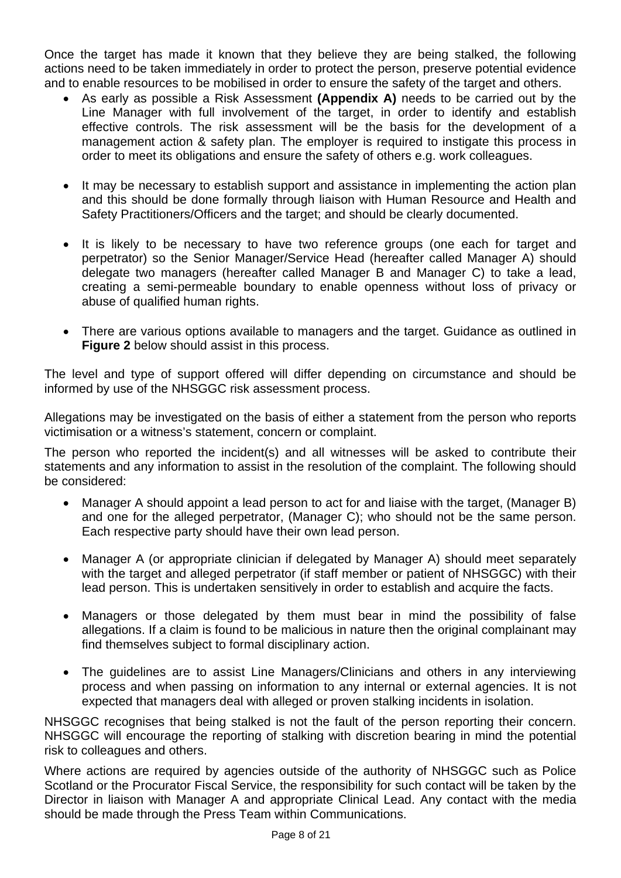Once the target has made it known that they believe they are being stalked, the following actions need to be taken immediately in order to protect the person, preserve potential evidence and to enable resources to be mobilised in order to ensure the safety of the target and others.

- As early as possible a Risk Assessment **(Appendix A)** needs to be carried out by the Line Manager with full involvement of the target, in order to identify and establish effective controls. The risk assessment will be the basis for the development of a management action & safety plan. The employer is required to instigate this process in order to meet its obligations and ensure the safety of others e.g. work colleagues.
- It may be necessary to establish support and assistance in implementing the action plan and this should be done formally through liaison with Human Resource and Health and Safety Practitioners/Officers and the target; and should be clearly documented.
- It is likely to be necessary to have two reference groups (one each for target and perpetrator) so the Senior Manager/Service Head (hereafter called Manager A) should delegate two managers (hereafter called Manager B and Manager C) to take a lead, creating a semi-permeable boundary to enable openness without loss of privacy or abuse of qualified human rights.
- There are various options available to managers and the target. Guidance as outlined in **Figure 2** below should assist in this process.

The level and type of support offered will differ depending on circumstance and should be informed by use of the NHSGGC risk assessment process.

Allegations may be investigated on the basis of either a statement from the person who reports victimisation or a witness's statement, concern or complaint.

The person who reported the incident(s) and all witnesses will be asked to contribute their statements and any information to assist in the resolution of the complaint. The following should be considered:

- Manager A should appoint a lead person to act for and liaise with the target, (Manager B) and one for the alleged perpetrator, (Manager C); who should not be the same person. Each respective party should have their own lead person.
- Manager A (or appropriate clinician if delegated by Manager A) should meet separately with the target and alleged perpetrator (if staff member or patient of NHSGGC) with their lead person. This is undertaken sensitively in order to establish and acquire the facts.
- Managers or those delegated by them must bear in mind the possibility of false allegations. If a claim is found to be malicious in nature then the original complainant may find themselves subject to formal disciplinary action.
- The guidelines are to assist Line Managers/Clinicians and others in any interviewing process and when passing on information to any internal or external agencies. It is not expected that managers deal with alleged or proven stalking incidents in isolation.

NHSGGC recognises that being stalked is not the fault of the person reporting their concern. NHSGGC will encourage the reporting of stalking with discretion bearing in mind the potential risk to colleagues and others.

Where actions are required by agencies outside of the authority of NHSGGC such as Police Scotland or the Procurator Fiscal Service, the responsibility for such contact will be taken by the Director in liaison with Manager A and appropriate Clinical Lead. Any contact with the media should be made through the Press Team within Communications.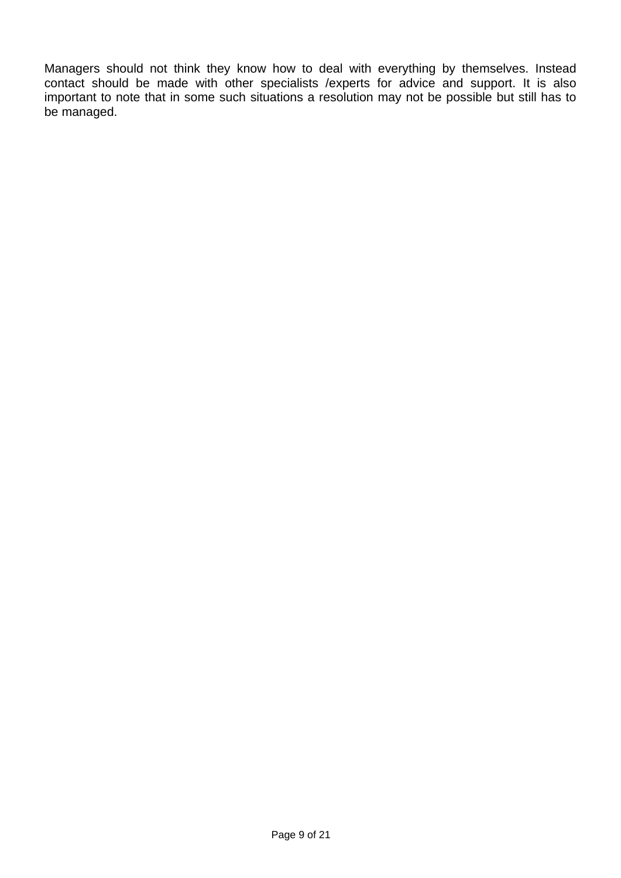Managers should not think they know how to deal with everything by themselves. Instead contact should be made with other specialists /experts for advice and support. It is also important to note that in some such situations a resolution may not be possible but still has to be managed.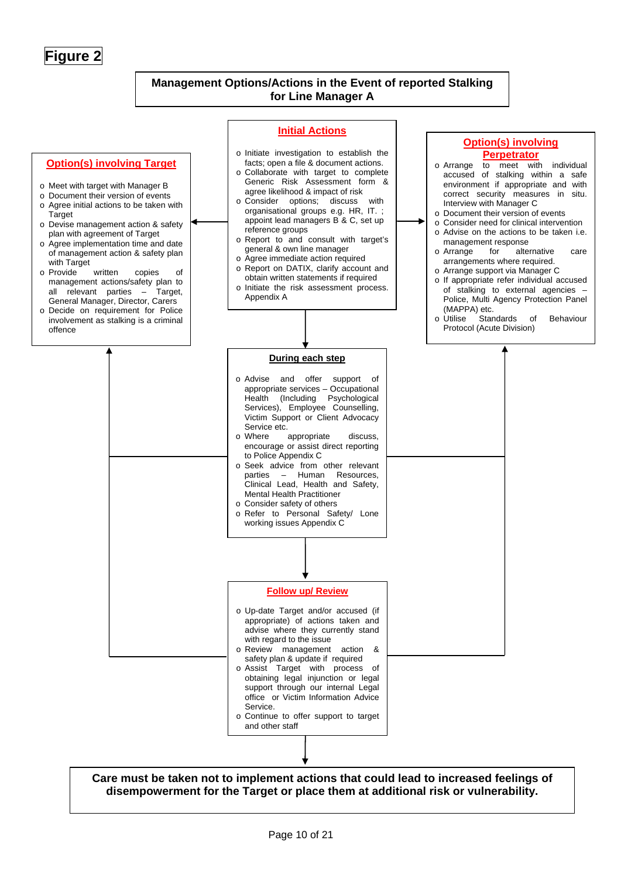**Figure 2**

#### **Management Options/Actions in the Event of reported Stalking for Line Manager A**

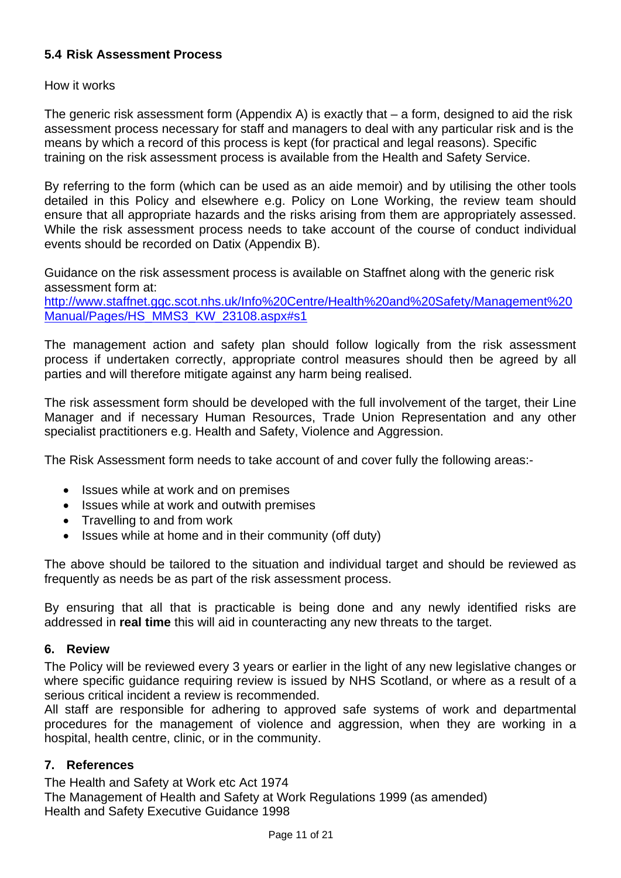#### **5.4 Risk Assessment Process**

#### How it works

The generic risk assessment form (Appendix A) is exactly that – a form, designed to aid the risk assessment process necessary for staff and managers to deal with any particular risk and is the means by which a record of this process is kept (for practical and legal reasons). Specific training on the risk assessment process is available from the Health and Safety Service.

By referring to the form (which can be used as an aide memoir) and by utilising the other tools detailed in this Policy and elsewhere e.g. Policy on Lone Working, the review team should ensure that all appropriate hazards and the risks arising from them are appropriately assessed. While the risk assessment process needs to take account of the course of conduct individual events should be recorded on Datix (Appendix B).

Guidance on the risk assessment process is available on Staffnet along with the generic risk assessment form at:

[http://www.staffnet.ggc.scot.nhs.uk/Info%20Centre/Health%20and%20Safety/Management%20](http://www.staffnet.ggc.scot.nhs.uk/Info Centre/Health and Safety/Management Manual/Pages/HS_MMS3_KW_23108.aspx#s1) [Manual/Pages/HS\\_MMS3\\_KW\\_23108.aspx#s1](http://www.staffnet.ggc.scot.nhs.uk/Info Centre/Health and Safety/Management Manual/Pages/HS_MMS3_KW_23108.aspx#s1)

The management action and safety plan should follow logically from the risk assessment process if undertaken correctly, appropriate control measures should then be agreed by all parties and will therefore mitigate against any harm being realised.

The risk assessment form should be developed with the full involvement of the target, their Line Manager and if necessary Human Resources, Trade Union Representation and any other specialist practitioners e.g. Health and Safety, Violence and Aggression.

The Risk Assessment form needs to take account of and cover fully the following areas:-

- Issues while at work and on premises
- Issues while at work and outwith premises
- Travelling to and from work
- Issues while at home and in their community (off duty)

The above should be tailored to the situation and individual target and should be reviewed as frequently as needs be as part of the risk assessment process.

By ensuring that all that is practicable is being done and any newly identified risks are addressed in **real time** this will aid in counteracting any new threats to the target.

#### **6. Review**

The Policy will be reviewed every 3 years or earlier in the light of any new legislative changes or where specific guidance requiring review is issued by NHS Scotland, or where as a result of a serious critical incident a review is recommended.

All staff are responsible for adhering to approved safe systems of work and departmental procedures for the management of violence and aggression, when they are working in a hospital, health centre, clinic, or in the community.

#### **7. References**

The Health and Safety at Work etc Act 1974

The Management of Health and Safety at Work Regulations 1999 (as amended) Health and Safety Executive Guidance 1998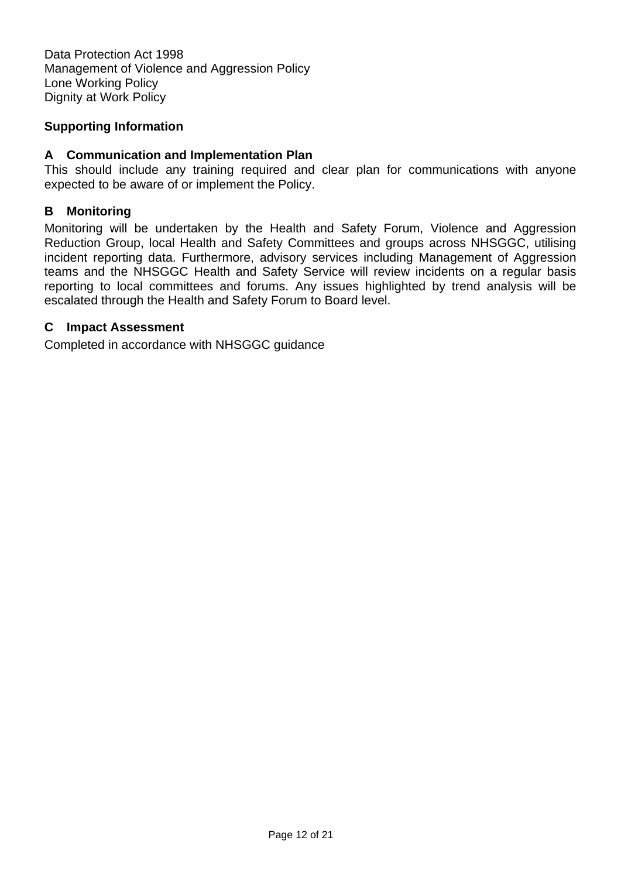Data Protection Act 1998 Management of Violence and Aggression Policy Lone Working Policy Dignity at Work Policy

#### **Supporting Information**

#### **A Communication and Implementation Plan**

This should include any training required and clear plan for communications with anyone expected to be aware of or implement the Policy.

#### **B Monitoring**

Monitoring will be undertaken by the Health and Safety Forum, Violence and Aggression Reduction Group, local Health and Safety Committees and groups across NHSGGC, utilising incident reporting data. Furthermore, advisory services including Management of Aggression teams and the NHSGGC Health and Safety Service will review incidents on a regular basis reporting to local committees and forums. Any issues highlighted by trend analysis will be escalated through the Health and Safety Forum to Board level.

#### **C Impact Assessment**

Completed in accordance with NHSGGC guidance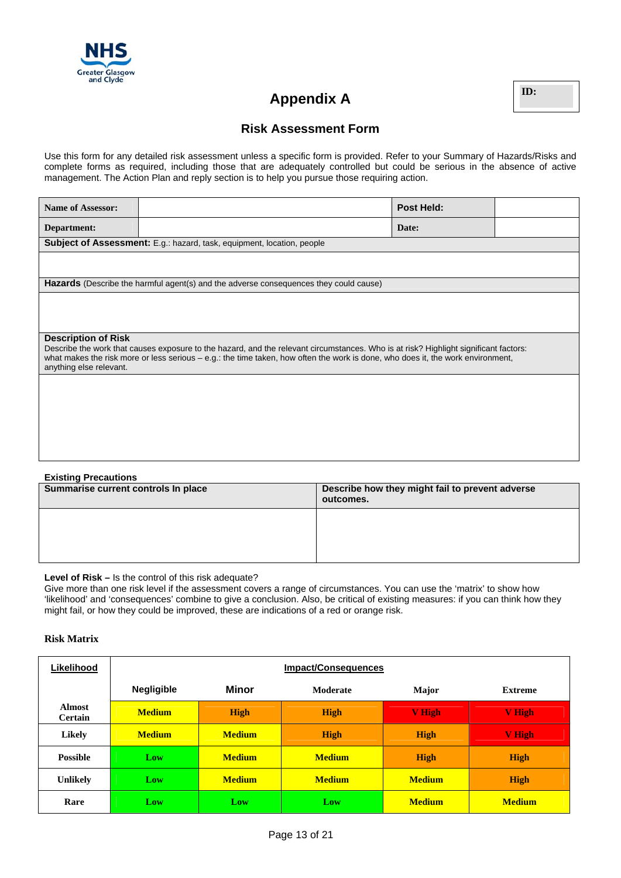

## **Appendix A ID:**

#### **Risk Assessment Form**

Use this form for any detailed risk assessment unless a specific form is provided. Refer to your Summary of Hazards/Risks and complete forms as required, including those that are adequately controlled but could be serious in the absence of active management. The Action Plan and reply section is to help you pursue those requiring action.

| <b>Name of Assessor:</b>                                                                                                                                                                                                                                                                           |                                                                                              | <b>Post Held:</b> |  |  |
|----------------------------------------------------------------------------------------------------------------------------------------------------------------------------------------------------------------------------------------------------------------------------------------------------|----------------------------------------------------------------------------------------------|-------------------|--|--|
| Department:                                                                                                                                                                                                                                                                                        |                                                                                              | Date:             |  |  |
| <b>Subject of Assessment:</b> E.g.: hazard, task, equipment, location, people                                                                                                                                                                                                                      |                                                                                              |                   |  |  |
|                                                                                                                                                                                                                                                                                                    |                                                                                              |                   |  |  |
|                                                                                                                                                                                                                                                                                                    | <b>Hazards</b> (Describe the harmful agent(s) and the adverse consequences they could cause) |                   |  |  |
|                                                                                                                                                                                                                                                                                                    |                                                                                              |                   |  |  |
|                                                                                                                                                                                                                                                                                                    |                                                                                              |                   |  |  |
| <b>Description of Risk</b>                                                                                                                                                                                                                                                                         |                                                                                              |                   |  |  |
| Describe the work that causes exposure to the hazard, and the relevant circumstances. Who is at risk? Highlight significant factors:<br>what makes the risk more or less serious - e.g.: the time taken, how often the work is done, who does it, the work environment,<br>anything else relevant. |                                                                                              |                   |  |  |
|                                                                                                                                                                                                                                                                                                    |                                                                                              |                   |  |  |
|                                                                                                                                                                                                                                                                                                    |                                                                                              |                   |  |  |
|                                                                                                                                                                                                                                                                                                    |                                                                                              |                   |  |  |
|                                                                                                                                                                                                                                                                                                    |                                                                                              |                   |  |  |
|                                                                                                                                                                                                                                                                                                    |                                                                                              |                   |  |  |

| <b>Existing Precautions</b>         |                                                              |  |
|-------------------------------------|--------------------------------------------------------------|--|
| Summarise current controls In place | Describe how they might fail to prevent adverse<br>outcomes. |  |
|                                     |                                                              |  |
|                                     |                                                              |  |

#### **Level of Risk –** Is the control of this risk adequate?

Give more than one risk level if the assessment covers a range of circumstances. You can use the 'matrix' to show how 'likelihood' and 'consequences' combine to give a conclusion. Also, be critical of existing measures: if you can think how they might fail, or how they could be improved, these are indications of a red or orange risk.

#### **Risk Matrix**

| Likelihood                      | <b>Impact/Consequences</b> |               |                 |               |                |
|---------------------------------|----------------------------|---------------|-----------------|---------------|----------------|
|                                 | <b>Negligible</b>          | <b>Minor</b>  | <b>Moderate</b> | Major         | <b>Extreme</b> |
| <b>Almost</b><br><b>Certain</b> | <b>Medium</b>              | <b>High</b>   | <b>High</b>     | <b>V</b> High | <b>V</b> High  |
| Likely                          | <b>Medium</b>              | <b>Medium</b> | <b>High</b>     | <b>High</b>   | <b>V</b> High  |
| <b>Possible</b>                 | Low                        | <b>Medium</b> | <b>Medium</b>   | <b>High</b>   | <b>High</b>    |
| <b>Unlikely</b>                 | Low                        | <b>Medium</b> | <b>Medium</b>   | <b>Medium</b> | <b>High</b>    |
| Rare                            | Low                        | Low           | Low             | <b>Medium</b> | <b>Medium</b>  |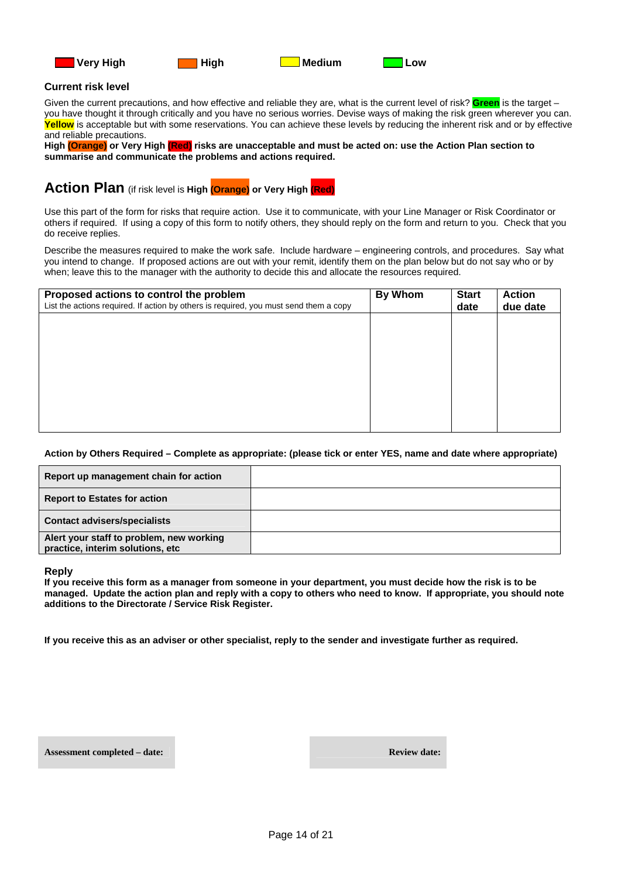







#### **Current risk level**

Given the current precautions, and how effective and reliable they are, what is the current level of risk? **Green** is the target – you have thought it through critically and you have no serious worries. Devise ways of making the risk green wherever you can. **Yellow** is acceptable but with some reservations. You can achieve these levels by reducing the inherent risk and or by effective and reliable precautions.

**High (Orange) or Very High (Red) risks are unacceptable and must be acted on: use the Action Plan section to summarise and communicate the problems and actions required.**

#### **Action Plan** (if risk level is **High (Orange) or Very High (Red)**

Use this part of the form for risks that require action. Use it to communicate, with your Line Manager or Risk Coordinator or others if required. If using a copy of this form to notify others, they should reply on the form and return to you. Check that you do receive replies.

Describe the measures required to make the work safe. Include hardware – engineering controls, and procedures. Say what you intend to change. If proposed actions are out with your remit, identify them on the plan below but do not say who or by when; leave this to the manager with the authority to decide this and allocate the resources required.

| Proposed actions to control the problem<br>List the actions required. If action by others is required, you must send them a copy | <b>By Whom</b> | <b>Start</b><br>date | <b>Action</b><br>due date |
|----------------------------------------------------------------------------------------------------------------------------------|----------------|----------------------|---------------------------|
|                                                                                                                                  |                |                      |                           |
|                                                                                                                                  |                |                      |                           |
|                                                                                                                                  |                |                      |                           |
|                                                                                                                                  |                |                      |                           |
|                                                                                                                                  |                |                      |                           |

#### **Action by Others Required – Complete as appropriate: (please tick or enter YES, name and date where appropriate)**

| Report up management chain for action                                        |  |
|------------------------------------------------------------------------------|--|
| <b>Report to Estates for action</b>                                          |  |
| <b>Contact advisers/specialists</b>                                          |  |
| Alert your staff to problem, new working<br>practice, interim solutions, etc |  |

**Reply** 

**If you receive this form as a manager from someone in your department, you must decide how the risk is to be managed. Update the action plan and reply with a copy to others who need to know. If appropriate, you should note additions to the Directorate / Service Risk Register.** 

**If you receive this as an adviser or other specialist, reply to the sender and investigate further as required.** 

**Assessment completed – date:**  $\blacksquare$  **Review date:**  $\blacksquare$  **Review date:**  $\blacksquare$  **Review date:**  $\blacksquare$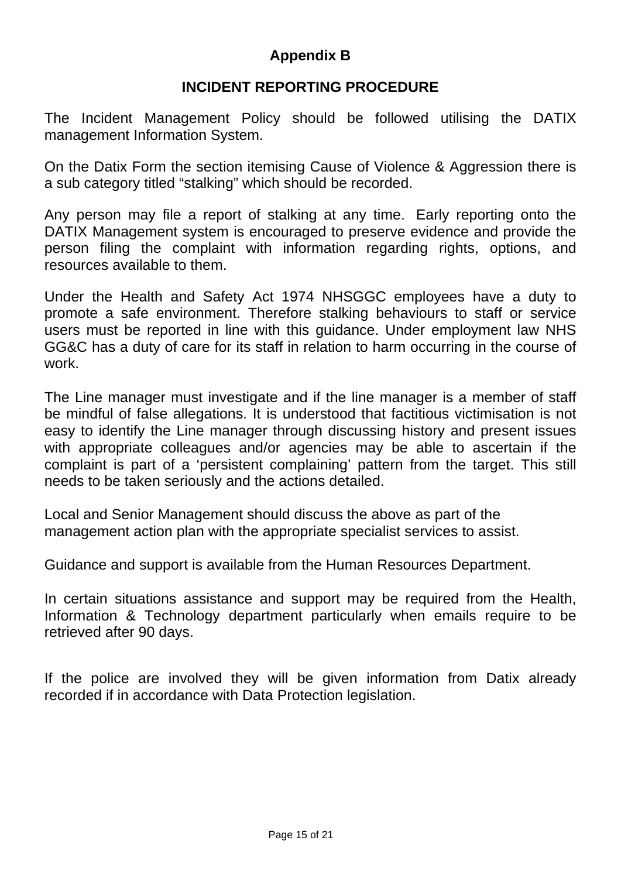## **Appendix B**

## **INCIDENT REPORTING PROCEDURE**

The Incident Management Policy should be followed utilising the DATIX management Information System.

On the Datix Form the section itemising Cause of Violence & Aggression there is a sub category titled "stalking" which should be recorded.

Any person may file a report of stalking at any time. Early reporting onto the DATIX Management system is encouraged to preserve evidence and provide the person filing the complaint with information regarding rights, options, and resources available to them.

Under the Health and Safety Act 1974 NHSGGC employees have a duty to promote a safe environment. Therefore stalking behaviours to staff or service users must be reported in line with this guidance. Under employment law NHS GG&C has a duty of care for its staff in relation to harm occurring in the course of work.

The Line manager must investigate and if the line manager is a member of staff be mindful of false allegations. It is understood that factitious victimisation is not easy to identify the Line manager through discussing history and present issues with appropriate colleagues and/or agencies may be able to ascertain if the complaint is part of a 'persistent complaining' pattern from the target. This still needs to be taken seriously and the actions detailed.

Local and Senior Management should discuss the above as part of the management action plan with the appropriate specialist services to assist.

Guidance and support is available from the Human Resources Department.

In certain situations assistance and support may be required from the Health, Information & Technology department particularly when emails require to be retrieved after 90 days.

If the police are involved they will be given information from Datix already recorded if in accordance with Data Protection legislation.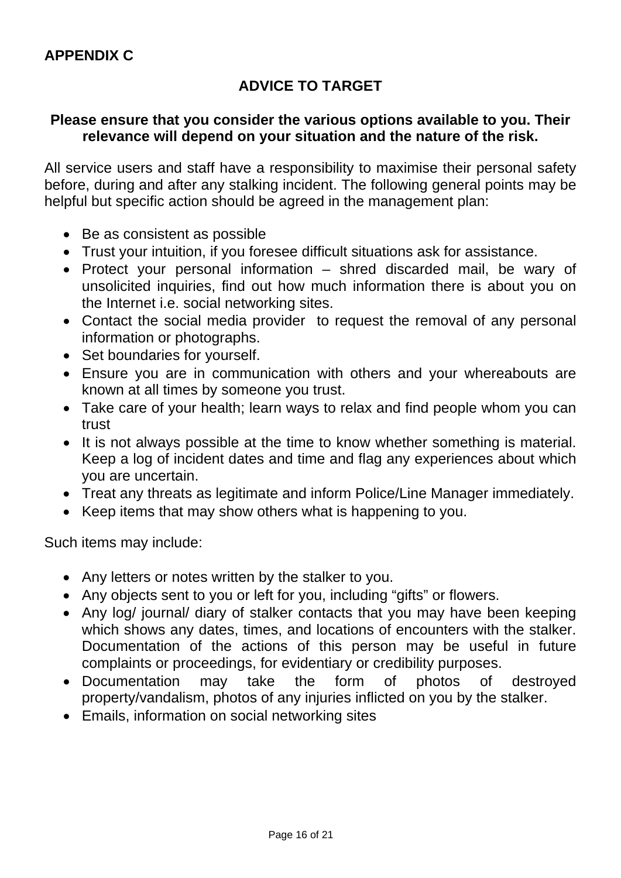## **ADVICE TO TARGET**

## **Please ensure that you consider the various options available to you. Their relevance will depend on your situation and the nature of the risk.**

All service users and staff have a responsibility to maximise their personal safety before, during and after any stalking incident. The following general points may be helpful but specific action should be agreed in the management plan:

- Be as consistent as possible
- Trust your intuition, if you foresee difficult situations ask for assistance.
- Protect your personal information shred discarded mail, be wary of unsolicited inquiries, find out how much information there is about you on the Internet i.e. social networking sites.
- Contact the social media provider to request the removal of any personal information or photographs.
- Set boundaries for yourself.
- Ensure you are in communication with others and your whereabouts are known at all times by someone you trust.
- Take care of your health; learn ways to relax and find people whom you can trust
- It is not always possible at the time to know whether something is material. Keep a log of incident dates and time and flag any experiences about which you are uncertain.
- Treat any threats as legitimate and inform Police/Line Manager immediately.
- Keep items that may show others what is happening to you.

Such items may include:

- Any letters or notes written by the stalker to you.
- Any objects sent to you or left for you, including "gifts" or flowers.
- Any log/ journal/ diary of stalker contacts that you may have been keeping which shows any dates, times, and locations of encounters with the stalker. Documentation of the actions of this person may be useful in future complaints or proceedings, for evidentiary or credibility purposes.
- Documentation may take the form of photos of destroyed property/vandalism, photos of any injuries inflicted on you by the stalker.
- Emails, information on social networking sites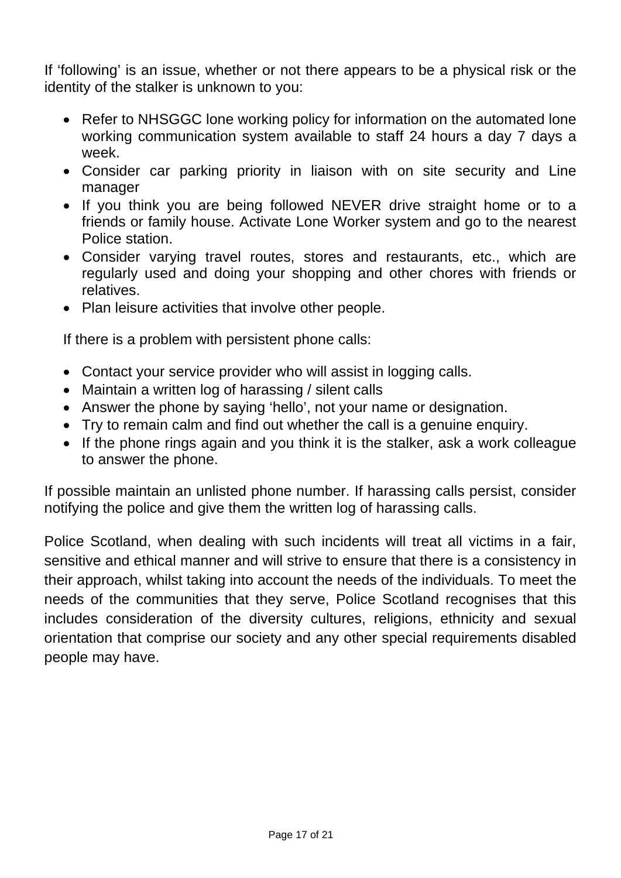If 'following' is an issue, whether or not there appears to be a physical risk or the identity of the stalker is unknown to you:

- Refer to NHSGGC lone working policy for information on the automated lone working communication system available to staff 24 hours a day 7 days a week.
- Consider car parking priority in liaison with on site security and Line manager
- If you think you are being followed NEVER drive straight home or to a friends or family house. Activate Lone Worker system and go to the nearest Police station.
- Consider varying travel routes, stores and restaurants, etc., which are regularly used and doing your shopping and other chores with friends or relatives.
- Plan leisure activities that involve other people.

If there is a problem with persistent phone calls:

- Contact your service provider who will assist in logging calls.
- Maintain a written log of harassing / silent calls
- Answer the phone by saying 'hello', not your name or designation.
- Try to remain calm and find out whether the call is a genuine enquiry.
- If the phone rings again and you think it is the stalker, ask a work colleague to answer the phone.

If possible maintain an unlisted phone number. If harassing calls persist, consider notifying the police and give them the written log of harassing calls.

Police Scotland, when dealing with such incidents will treat all victims in a fair, sensitive and ethical manner and will strive to ensure that there is a consistency in their approach, whilst taking into account the needs of the individuals. To meet the needs of the communities that they serve, Police Scotland recognises that this includes consideration of the diversity cultures, religions, ethnicity and sexual orientation that comprise our society and any other special requirements disabled people may have.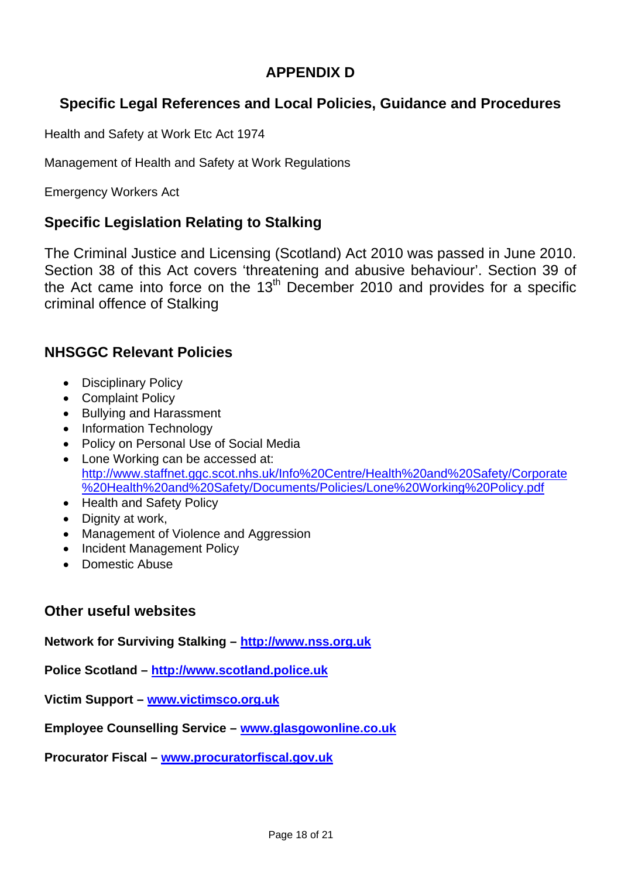## **APPENDIX D**

## **Specific Legal References and Local Policies, Guidance and Procedures**

Health and Safety at Work Etc Act 1974

Management of Health and Safety at Work Regulations

Emergency Workers Act

## **Specific Legislation Relating to Stalking**

The Criminal Justice and Licensing (Scotland) Act 2010 was passed in June 2010. Section 38 of this Act covers 'threatening and abusive behaviour'. Section 39 of the Act came into force on the  $13<sup>th</sup>$  December 2010 and provides for a specific criminal offence of Stalking

## **NHSGGC Relevant Policies**

- Disciplinary Policy
- Complaint Policy
- Bullying and Harassment
- Information Technology
- Policy on Personal Use of Social Media
- Lone Working can be accessed at: [http://www.staffnet.ggc.scot.nhs.uk/Info%20Centre/Health%20and%20Safety/Corporate](http://www.staffnet.ggc.scot.nhs.uk/Info%20Centre/Health%20and%20Safety/Corporate%20Health%20and%20Safety/Documents/Policies/Lone%20Working%20Policy.pdf) [%20Health%20and%20Safety/Documents/Policies/Lone%20Working%20Policy.pdf](http://www.staffnet.ggc.scot.nhs.uk/Info%20Centre/Health%20and%20Safety/Corporate%20Health%20and%20Safety/Documents/Policies/Lone%20Working%20Policy.pdf)
- Health and Safety Policy
- Dignity at work,
- Management of Violence and Aggression
- Incident Management Policy
- Domestic Abuse

## **Other useful websites**

**Network for Surviving Stalking – [http://www.nss.org.uk](http://www.nss.org.uk/)**

**Police Scotland – [http://www.scotland.police.uk](http://www.scotland.police.uk/)**

**Victim Support – [www.victimsco.org.uk](http://www.victimsco.org.uk/)**

**Employee Counselling Service – [www.glasgowonline.co.uk](http://www.glasgowonline.co.uk/)**

**Procurator Fiscal – [www.procuratorfiscal.gov.uk](http://www.procuratorfiscal.gov.uk/)**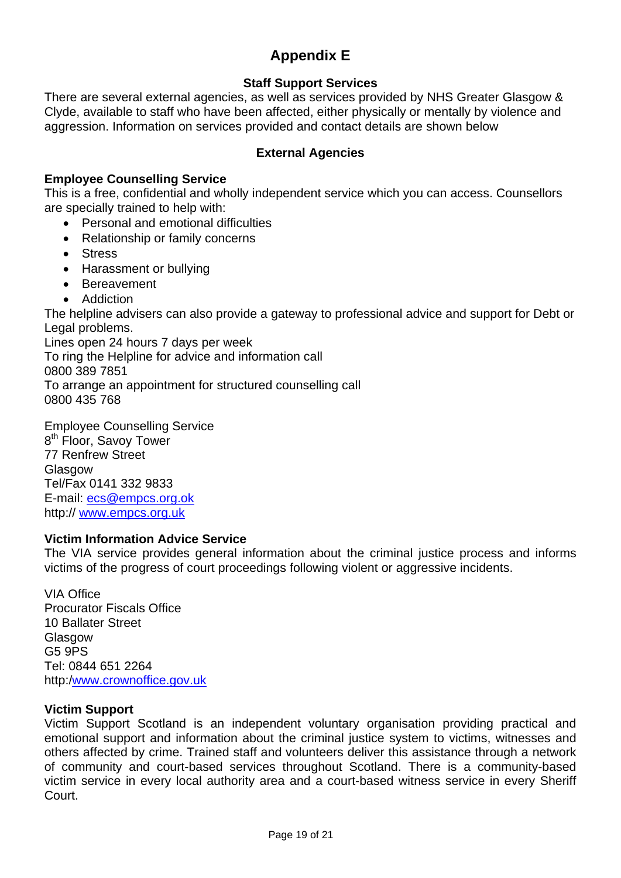## **Appendix E**

#### **Staff Support Services**

There are several external agencies, as well as services provided by NHS Greater Glasgow & Clyde, available to staff who have been affected, either physically or mentally by violence and aggression. Information on services provided and contact details are shown below

#### **External Agencies**

#### **Employee Counselling Service**

This is a free, confidential and wholly independent service which you can access. Counsellors are specially trained to help with:

- Personal and emotional difficulties
- Relationship or family concerns
- Stress
- Harassment or bullying
- Bereavement
- Addiction

The helpline advisers can also provide a gateway to professional advice and support for Debt or Legal problems.

Lines open 24 hours 7 days per week To ring the Helpline for advice and information call 0800 389 7851 To arrange an appointment for structured counselling call 0800 435 768

Employee Counselling Service 8<sup>th</sup> Floor, Savoy Tower 77 Renfrew Street **Glasgow** Tel/Fax 0141 332 9833 E-mail: [ecs@empcs.org.ok](mailto:ecs@empcs.org.ok) http:// [www.empcs.org.uk](http://www.empcs.org.uk/)

#### **Victim Information Advice Service**

The VIA service provides general information about the criminal justice process and informs victims of the progress of court proceedings following violent or aggressive incidents.

VIA Office Procurator Fiscals Office 10 Ballater Street **Glasgow** G5 9PS Tel: 0844 651 2264 http:[/www.crownoffice.gov.uk](http://www.crownoffice.gov.uk/)

#### **Victim Support**

Victim Support Scotland is an independent voluntary organisation providing practical and emotional support and information about the criminal justice system to victims, witnesses and others affected by crime. Trained staff and volunteers deliver this assistance through a network of community and court-based services throughout Scotland. There is a community-based victim service in every local authority area and a court-based witness service in every Sheriff Court.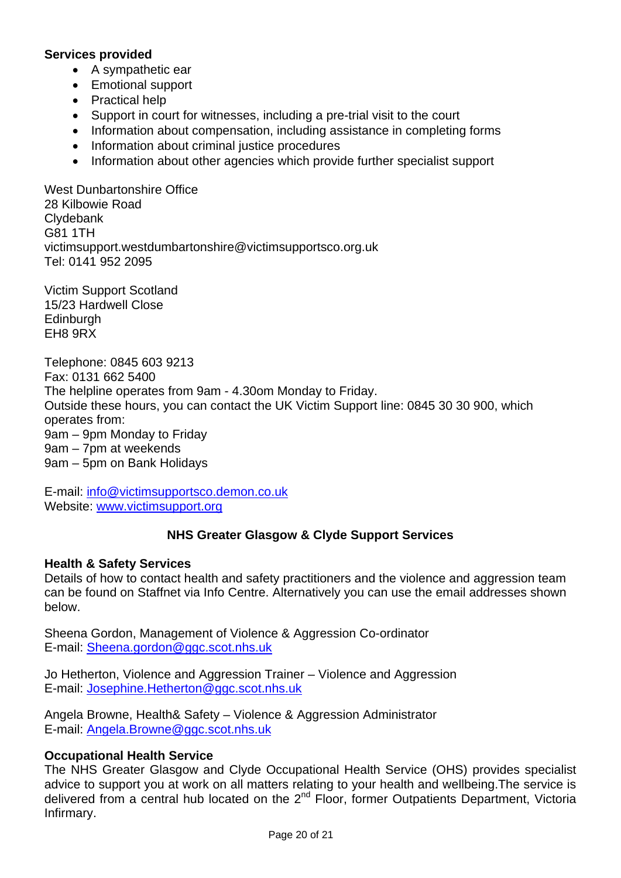#### **Services provided**

- A sympathetic ear
- Emotional support
- Practical help
- Support in court for witnesses, including a pre-trial visit to the court
- Information about compensation, including assistance in completing forms
- Information about criminal justice procedures
- Information about other agencies which provide further specialist support

West Dunbartonshire Office 28 Kilbowie Road **Clydebank** G81 1TH victimsupport.westdumbartonshire@victimsupportsco.org.uk Tel: 0141 952 2095

Victim Support Scotland 15/23 Hardwell Close **Edinburgh** EH8 9RX

Telephone: 0845 603 9213 Fax: 0131 662 5400 The helpline operates from 9am - 4.30om Monday to Friday. Outside these hours, you can contact the UK Victim Support line: 0845 30 30 900, which operates from: 9am – 9pm Monday to Friday 9am – 7pm at weekends 9am – 5pm on Bank Holidays

E-mail: [info@victimsupportsco.demon.co.uk](mailto:info@victimsupportsco.demon.co.uk) Website: [www.victimsupport.org](http://www.victimsupport.org/)

#### **NHS Greater Glasgow & Clyde Support Services**

#### **Health & Safety Services**

Details of how to contact health and safety practitioners and the violence and aggression team can be found on Staffnet via Info Centre. Alternatively you can use the email addresses shown below.

Sheena Gordon, Management of Violence & Aggression Co-ordinator E-mail: [Sheena.gordon@ggc.scot.nhs.uk](mailto:Sheena.gordon@ggc.scot.nhs.uk)

Jo Hetherton, Violence and Aggression Trainer – Violence and Aggression E-mail: [Josephine.Hetherton@ggc.scot.nhs.uk](mailto:Josephine.Hetherton@ggc.scot.nhs.uk)

Angela Browne, Health& Safety – Violence & Aggression Administrator E-mail: [Angela.Browne@ggc.scot.nhs.uk](mailto:Angela.Browne@ggc.scot.nhs.uk)

#### **Occupational Health Service**

The NHS Greater Glasgow and Clyde Occupational Health Service (OHS) provides specialist advice to support you at work on all matters relating to your health and wellbeing.The service is delivered from a central hub located on the  $2^{nd}$  Floor, former Outpatients Department, Victoria Infirmary.